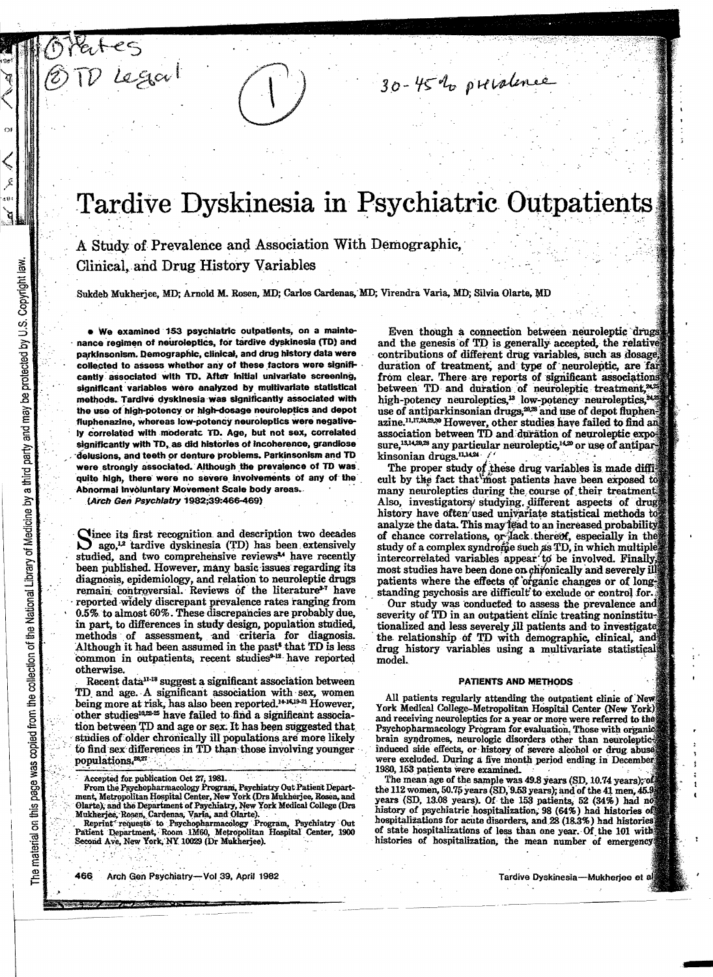# Tardive Dyskinesia in Psychiatric Outpatients

A Study of Prevalence and Association With Demographic, Clinical, and Drug History Variables

Sukdeb Mukherjee, MD; Arnold M. Rosen, MD; Carlos Cardenas, MD; Virendra Varia, MD; Silvia Olarte, MD

. We examined 153 psychiatric outpatients, on a maintenance regimen of neuroleptics, for tardive dyskinesia (TD) and parkinsonism. Demographic, clinical, and drug history data were collected to assess whether any of these factors were significantly associated with TD. After initial univariate screening, significant variables were analyzed by multivariate statistical methods. Tardive dyskinesia was significantly associated with the use of high-potency or high-dosage neuroleptics and depot fluphenazine, whereas low-potency neuroleptics were negatively correlated with moderate TD. Age, but not sex, correlated significantly with TD, as did histories of incoherence, grandiose delusions, and teeth or denture problems. Parkinsonism and TD were strongly associated. Although the prevalence of TD was quite high, there were no severe involvements of any of the Abnormal Involuntary Movement Scale body areas.

(Arch Gen Psychiatry 1982;39:466-469)

 $Leg\alpha$ 

Clince its first recognition and description two decades ago,<sup>12</sup> tardive dyskinesia (TD) has been extensively studied, and two comprehensive reviews<sup>34</sup> have recently been published. However, many basic issues regarding its diagnosis, epidemiology, and relation to neuroleptic drugs remain controversial. Reviews of the literature<sup>27</sup> have reported widely discrepant prevalence rates ranging from 0.5% to almost 60%. These discrepancies are probably due, in part, to differences in study design, population studied, methods of assessment, and criteria for diagnosis. Although it had been assumed in the past<sup>8</sup> that TD is less common in outpatients, recent studies<sup>9-12</sup> have reported otherwise.

Recent data<sup>11-18</sup> suggest a significant association between TD and age. A significant association with sex, women being more at risk, has also been reported.<sup>14-1619-21</sup> However, other studies<sup>10,22</sup><sup>25</sup> have failed to find a significant association between TD and age or sex. It has been suggested that studies of older chronically ill populations are more likely to find sex differences in TD than those involving younger populations.<sup>28,27</sup>

Accepted for publication Oct 27, 1981.

Reprint requests to Psychopharmacology Program, Psychiatry Out Patient Department, Room 1M60, Metropolitan Hospital Center, 1900<br>Second Ave, New York, NY 10029 (Dr Mukherjee).

Even though a connection between neuroleptic drugs and the genesis of TD is generally accepted, the relative contributions of different drug variables, such as dosage duration of treatment, and type of neuroleptic, are far from clear. There are reports of significant associations between TD and duration of neuroleptic treatment,<sup>24,2</sup> high-potency neuroleptics,<sup>13</sup> low-potency neuroleptics,<sup>24</sup> use of antiparkinsonian drugs,<sup>20,28</sup> and use of depot fluphenazine.<sup>11,17,24,23,30</sup> However, other studies have failed to find an association between TD and duration of neuroleptic exposure,<sup>13,14,20,23</sup> any particular neuroleptic,<sup>14,20</sup> or use of antiparkinsonian drugs.<sup>11,1424</sup>

30-45% prevalence

The proper study of these drug variables is made difficult by the fact that most patients have been exposed to many neuroleptics during the course of their treatment Also, investigators/studying different aspects of drug history have often used univariate statistical methods to analyze the data. This may lead to an increased probability of chance correlations, or lack thereof, especially in the study of a complex syndrome such as TD, in which multiple intercorrelated variables appear to be involved. Finally, most studies have been done on chronically and severely ill patients where the effects of organic changes or of longstanding psychosis are difficult to exclude or control for.

Our study was conducted to assess the prevalence and severity of TD in an outpatient clinic treating noninstitutionalized and less severely ill patients and to investigate. the relationship of TD with demographic, clinical, and drug history variables using a multivariate statistical model.

#### PATIENTS AND METHODS

All patients regularly attending the outpatient clinic of New York Medical College-Metropolitan Hospital Center (New York) and receiving neuroleptics for a year or more were referred to the Psychopharmacology Program for evaluation. Those with organic brain syndromes, neurologic disorders other than neurolepticinduced side effects, or history of severe alcohol or drug abuse were excluded. During a five month period ending in December 1980, 153 patients were examined.

The mean age of the sample was 49.8 years (SD, 10.74 years); of the 112 women, 50.75 years (SD, 9.53 years); and of the 41 men, 45.9 years (SD, 13.08 years). Of the 153 patients, 52 (34%) had no history of psychiatric hospitalization, 98 (64%) had histories of hospitalizations for acute disorders, and 28 (18.3%) had histories of state hospitalizations of less than one year. Of the 101 with histories of hospitalization, the mean number of emergency

From the Psychopharmacology Program, Psychiatry Out Patient Department, Metropolitan Hospital Center, New York (Drs Mukherjee, Rosen, and Olarte), and the Department of Psychiatry, New York Medical College (Drs Mukherjee, Rosen, Cardenas, Varia, and Olarte).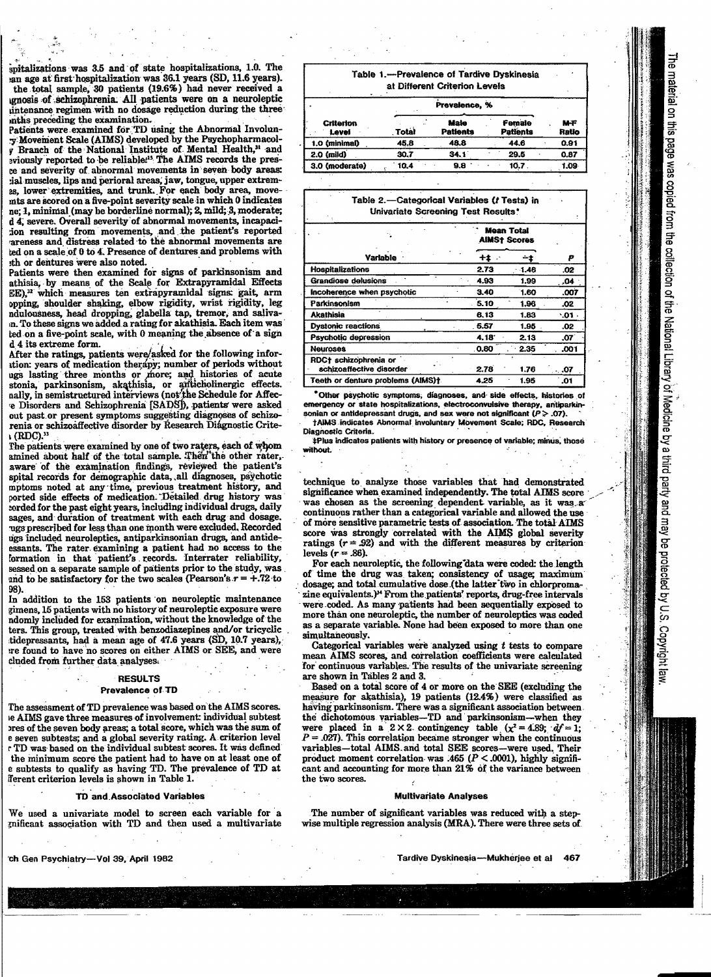spitalizations was 3.5 and of state hospitalizations, 1.0. The an age at first hospitalization was 36.1 years (SD, 11.6 years). the total sample, 30 patients (19.6%) had never received a gnosis of schizophrenia. All patients were on a neuroleptic untenance regimen with no dosage reduction during the three inths preceding the examination.

Patients were examined for TD using the Abnormal Involuny Movement Scale (AIMS) developed by the Psychopharmacol-Branch of the National Institute of Mental Health,<sup>31</sup> and eviously reported to be reliable.<sup>15</sup> The AIMS records the presbe and severity of abnormal movements in seven body areas: ial muscles, lips and perioral areas, jaw, tongue, upper extremas, lower extremities, and trunk. For each body area, moveints are scored on a five-point severity scale in which 0 indicates ne; 1, minimal (may be borderline normal); 2, mild; 3, moderate; d 4, severe. Overall severity of abnormal movements, incapacition resulting from movements, and the patient's reported areness and distress related to the abnormal movements are ted on a scale of 0 to 4. Presence of dentures and problems with ath or dentures were also noted.

Patients were then examined for signs of parkinsonism and athisia, by means of the Scale for Extrapyramidal Effects EE),<sup>22</sup> which measures ten extrapyramidal signs: gait, arm opping, shoulder shaking, elbow rigidity, wrist rigidity, leg ndulousness, head dropping, glabella tap, tremor, and saliva-in. To these signs we added a rating for akathisia. Each item was ted on a five-point scale, with 0 meaning the absence of a sign d 4 its extreme form.

After the ratings, patients were/asked for the following inforition: years of medication therapy; number of periods without ugs lasting three months or more; and histories of acute stonia, parkinsonism, akathisia, or anticholinergic effects. nally, in semistructured interviews (not the Schedule for Affece Disorders and Schizophrenia [SADS]), patients were asked out past or present symptoms suggesting diagnoses of schizorenia or schizoaffective disorder by Research Diágnostic Crite- $\Lambda$  (RDC).<sup>33</sup>

The patients were examined by one of two raters, each of whom amined about half of the total sample. Then the other rater, aware of the examination findings, reviewed the patient's spital records for demographic data, all diagnoses, psychotic mptoms noted at any time, previous treatment history, and ported side effects of medication. Detailed drug history was corded for the past eight years, including individual drugs, daily sages, and duration of treatment with each drug and dosage. ugs prescribed for less than one month were excluded. Recorded ugs included neuroleptics, antiparkinsonian drugs, and antideessants. The rater examining a patient had no access to the formation in that patient's records. Interrater reliability, sessed on a separate sample of patients prior to the study, was and to be satisfactory for the two scales (Pearson's  $r = +.72$  to 98).

In addition to the 153 patients on neuroleptic maintenance gimens, 15 patients with no history of neuroleptic exposure were ndomly included for examination, without the knowledge of the ters. This group, treated with benzodiazepines and/or tricyclic tidepressants, had a mean age of 47.6 years (SD, 10.7 years), are found to have no scores on either AIMS or SEE, and were cluded from further data analyses.

# **RESULTS**

## Prevalence of TD

The assessment of TD prevalence was based on the AIMS scores. ie AIMS gave three measures of involvement: individual subtest ores of the seven body areas; a total score, which was the sum of e seven subtests; and a global severity rating. A criterion level . TD was based on the individual subtest scores. It was defined the minimum score the patient had to have on at least one of e subtests to qualify as having TD. The prevalence of TD at fferent criterion levels is shown in Table 1.

### TD and Associated Variables

We used a univariate model to screen each variable for a gnificant association with TD and then used a multivariate Table 1.-Prevalence of Tardive Dyskinesia at Different Criterion Levels

|                           | Prevalence, %<br>$\sim$ |                         |                    |                     |
|---------------------------|-------------------------|-------------------------|--------------------|---------------------|
| <b>Criterion</b><br>Level | <b>Total</b>            | Male<br><b>Patients</b> | Female<br>Patients | <b>M-F</b><br>Ratio |
| 1.0 (minimal)             | 45.8                    | 48.8                    | 44.6               | 0.91                |
| $2.0$ (mild)              | 30.7                    | 34.1                    | 29.5               | 0.87                |
| 3.0 (moderate)            | 10.4                    | 9.8                     | 10.7               | 1.09                |

# Table 2.-Categorical Variables (t Tests) in **Univariate Screening Test Results\***

|                                                   | <b>Mean Total</b><br><b>AIMSt Scores</b> |         |           |
|---------------------------------------------------|------------------------------------------|---------|-----------|
| <b>Variable</b>                                   | +1                                       | - 1     | P         |
| <b>Hospitalizations</b>                           | 2.73                                     | $-1.46$ | .02       |
| <b>Grandiose delusions</b>                        | 4.93                                     | 1.99    | .04       |
| Incoherence when psychotic                        | 3.40                                     | 1.60    | .007      |
| Parkinsonism                                      | 5.10                                     | 1.96    | .02       |
| Akathisia                                         | 6.13                                     | 1.83    | .01       |
| <b>Dystonic reactions</b>                         | . 5.57                                   | 1.95    | .02       |
| Psychotic depression                              | 4.18                                     | 2.13    | .07       |
| <b>Neuroses</b>                                   | 0.80                                     | 2.35    | .001      |
| RDC+ schizophrenia or<br>schizoaffective disorder | 2.78                                     | 1.76    | $\ddotsc$ |
| Teeth or denture problems (AIMS)†.                | 4.25                                     | 1.95    | .01       |

\*Other psychotic symptoms, diagnoses, and side effects, histories of emergency or state hospitalizations, electroconvulsive therapy, antiparkinsonian or antidepressant drugs, and sex were not significant ( $P > .07$ ).

†AIMS indicates Abnormal Involuntary Movement Scale; RDC, Research Diagnostic Criteria

‡Plus indicates patients with history or presence of variable; minus, those without.

technique to analyze those variables that had demonstrated significance when examined independently. The total AIMS score was chosen as the screening dependent variable, as it was a continuous rather than a categorical variable and allowed the use of more sensitive parametric tests of association. The total ATMS score was strongly correlated with the AIMS global severity ratings  $(r = .92)$  and with the different measures by criterion levels  $(r = 86)$ .

For each neuroleptic, the following data were coded: the length of time the drug was taken; consistency of usage; maximum dosage; and total cumulative dose (the latter two in chlorpromazine equivalents.)<sup>14</sup> From the patients' reports, drug-free intervals were coded. As many patients had been sequentially exposed to more than one neuroleptic, the number of neuroleptics was coded as a separate variable. None had been exposed to more than one simultaneously.

Categorical variables were analyzed using  $t$  tests to compare mean AIMS scores, and correlation coefficients were calculated for continuous variables. The results of the univariate screening are shown in Tables 2 and 3.

Based on a total score of 4 or more on the SEE (excluding the measure for akathisia), 19 patients (12.4%) were classified as having parkinsonism. There was a significant association between. the dichotomous variables-TD and parkinsonism-when they were placed in a 2 × 2 contingency table  $(x^2 = 4.89; df = 1;$  $P = .027$ ). This correlation became stronger when the continuous variables-total AIMS and total SEE scores-were used. Their product moment correlation was .465 ( $P < .0001$ ), highly significant and accounting for more than 21% of the variance between the two scores.

#### **Multivariate Analyses**

The number of significant variables was reduced with a stepwise multiple regression analysis (MRA). There were three sets of

ch Gen Psychiatry-Vol 39, April 1982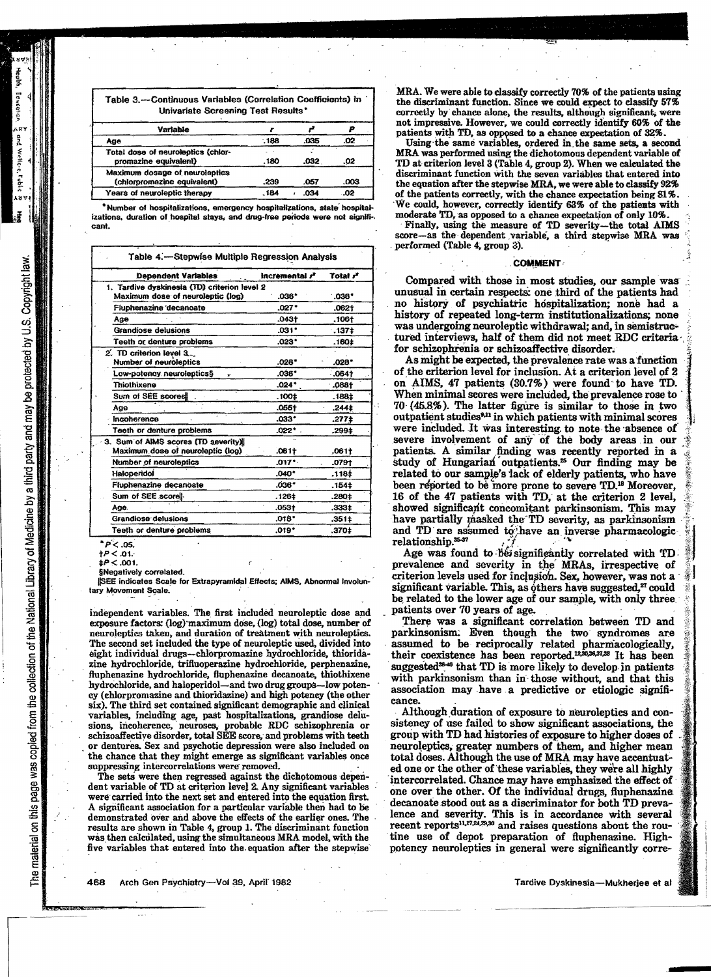Table 3.-Continuous Variables (Correlation Coefficients) in **Univariate Screening Test Results'** 

| Variable                                                    |      |      |      |
|-------------------------------------------------------------|------|------|------|
| Age                                                         | .188 | .035 | .02  |
| Total dose of neuroleptics (chlor-<br>promazine equivalent) | .180 | .032 | .02  |
| Maximum dosage of neuroleptics                              |      |      |      |
| (chlorpromazine equivalent)                                 | .239 | .057 | .003 |
| Years of neuroleptic therapy                                | .184 | 034  | .02  |

Number of hospitalizations, emergency hospitalizations, state hospitalizations, duration of hospital stavs, and drug-free periods were not significant.

| Table 4.-Stepwise Multiple Regression Analysis |                            |                      |  |  |
|------------------------------------------------|----------------------------|----------------------|--|--|
| <b>Dependent Variables</b>                     | incremental r <sup>2</sup> | Total r <sup>2</sup> |  |  |
| 1. Tardive dyskinesia (TD) criterion level 2   |                            |                      |  |  |
| Maximum dose of neuroleptic (log)              | $.036*$                    | .038"                |  |  |
| Fluphenazine decanoate                         | $.027*$                    | .0621                |  |  |
| Age                                            | .043†                      | .106†                |  |  |
| Grandiose delusions                            | $.031*$                    | .137 <sup>±</sup>    |  |  |
| Teeth or denture problems                      | .023*                      | .160‡                |  |  |
| 2. TD criterion level 3.                       |                            |                      |  |  |
| Number of neuroleptics                         | $.02B$ <sup>*</sup>        | .028*                |  |  |
| Low-potency neuroleptics§                      | .036*                      | $.064+$              |  |  |
| Thiothixene                                    | $.024*$                    | $.088+$              |  |  |
| Sum of SEE scores!                             | .100‡                      | .188‡                |  |  |
| Age                                            | .055†                      | .244‡                |  |  |
| Incoherence                                    | $.033*$                    | .277‡                |  |  |
| Teeth or denture problems                      | $.022*$                    | .299‡                |  |  |
| 3. Sum of AIMS scores (TD severity)            |                            |                      |  |  |
| Maximum dose of neuroleptic (log)              | $.061+$                    | .061 <sub>1</sub>    |  |  |
| Number of neuroleptics                         | .017*                      | .079†                |  |  |
| Haloperidol                                    | $.040*$                    | .118‡                |  |  |
| Fluphenazine decanoate                         | .038*                      | .154±                |  |  |
| Sum of SEE score                               | .126‡                      | .280‡                |  |  |
| Age.                                           | .053†                      | .333‡                |  |  |
| Grandiose delusions                            | $.018*$                    | .351‡                |  |  |
| Teeth or denture problems                      | .019*                      | .370‡                |  |  |

\* P < .05.

 $+P < .01$ 

 $\sharp P < .001$ 

§Negatively correlated.

ISEE indicates Scale for Extrapyramidal Effects; AIMS, Abnormal Involuntary Movement Scale.

independent variables. The first included neuroleptic dose and exposure factors: (log) maximum dose, (log) total dose, number of neuroleptics taken, and duration of treatment with neuroleptics. The second set included the type of neuroleptic used, divided into eight individual drugs--chlorpromazine hydrochloride, thioridazine hydrochloride, trifluoperazine hydrochloride, perphenazine, fluphenazine hydrochloride, fluphenazine decanoate, thiothixene hvdrochloride, and haloperidol-and two drug groups-low potency (chlorpromazine and thioridazine) and high potency (the other six). The third set contained significant demographic and clinical variables, including age, past hospitalizations, grandiose delusions, incoherence, neuroses, probable RDC schizophrenia or schizoaffective disorder, total SEE score, and problems with teeth or dentures. Sex and psychotic depression were also included on the chance that they might emerge as significant variables once suppressing intercorrelations were removed.

The sets were then regressed against the dichotomous dependent variable of TD at criterion level 2. Any significant variables were carried into the next set and entered into the equation first. A significant association for a particular variable then had to be demonstrated over and above the effects of the earlier ones. The results are shown in Table 4, group 1. The discriminant function was then calculated, using the simultaneous MRA model, with the five variables that entered into the equation after the stepwise

MRA. We were able to classify correctly 70% of the patients using the discriminant function. Since we could expect to classify 57% correctly by chance alone, the results, although significant, were not impressive. However, we could correctly identify 60% of the patients with TD, as opposed to a chance expectation of 32%.

Using the same variables, ordered in the same sets, a second MRA was performed using the dichotomous dependent variable of TD at criterion level 3 (Table 4, group 2). When we calculated the discriminant function with the seven variables that entered into the equation after the stepwise MRA, we were able to classify 92% of the patients correctly, with the chance expectation being 81%. We could, however, correctly identify 63% of the patients with moderate TD, as opposed to a chance expectation of only 10%.

Finally, using the measure of TD severity-the total AIMS score-as the dependent variable, a third stepwise MRA was performed (Table 4, group 3).

# **COMMENT**

Compared with those in most studies, our sample was unusual in certain respects; one third of the patients had no history of psychiatric hospitalization; none had a history of repeated long-term institutionalizations; none was undergoing neuroleptic withdrawal; and, in semistructured interviews, half of them did not meet RDC criteria for schizophrenia or schizoaffective disorder.

As might be expected, the prevalence rate was a function of the criterion level for inclusion. At a criterion level of 2 on AIMS, 47 patients (30.7%) were found to have TD. When minimal scores were included, the prevalence rose to 70 (45.8%). The latter figure is similar to those in two outpatient studies<sup>9,11</sup> in which patients with minimal scores were included. It was interesting to note the absence of severe involvement of any of the body areas in our patients. A similar finding was recently reported in a study of Hungarian' outpatients.<sup>25</sup> Our finding may be related to our sample's lack of elderly patients, who have been reported to be more prone to severe TD.<sup>18</sup> Moreover, 16 of the 47 patients with TD, at the criterion 2 level, showed significant concomitant parkinsonism. This may have partially masked the TD severity, as parkinsonism and TD are assumed to have an inverse pharmacologicrelationship.  $5-37$ 

Age was found to be significantly correlated with TD prevalence and severity in the MRAs, irrespective of criterion levels used for inclusion. Sex, however, was not a significant variable. This, as others have suggested,<sup>27</sup> could be related to the lower age of our sample, with only three patients over 70 years of age.

There was a significant correlation between TD and parkinsonism. Even though the two syndromes are assumed to be reciprocally related pharmacologically, their coexistence has been reported.<sup>12,30,36,37,38</sup> It has been suggested<sup>38-40</sup> that TD is more likely to develop in patients with parkinsonism than in those without, and that this association may have a predictive or etiologic significance.

Although duration of exposure to neuroleptics and consistency of use failed to show significant associations, the group with TD had histories of exposure to higher doses of neuroleptics, greater numbers of them, and higher mean total doses. Although the use of MRA may have accentuated one or the other of these variables, they were all highly intercorrelated. Chance may have emphasized the effect of one over the other. Of the individual drugs, fluphenazine decanoate stood out as a discriminator for both TD prevalence and severity. This is in accordance with several recent reports<sup>11,17,24,29,30</sup> and raises questions about the routine use of depot preparation of fluphenazine. Highpotency neuroleptics in general were significantly corre-